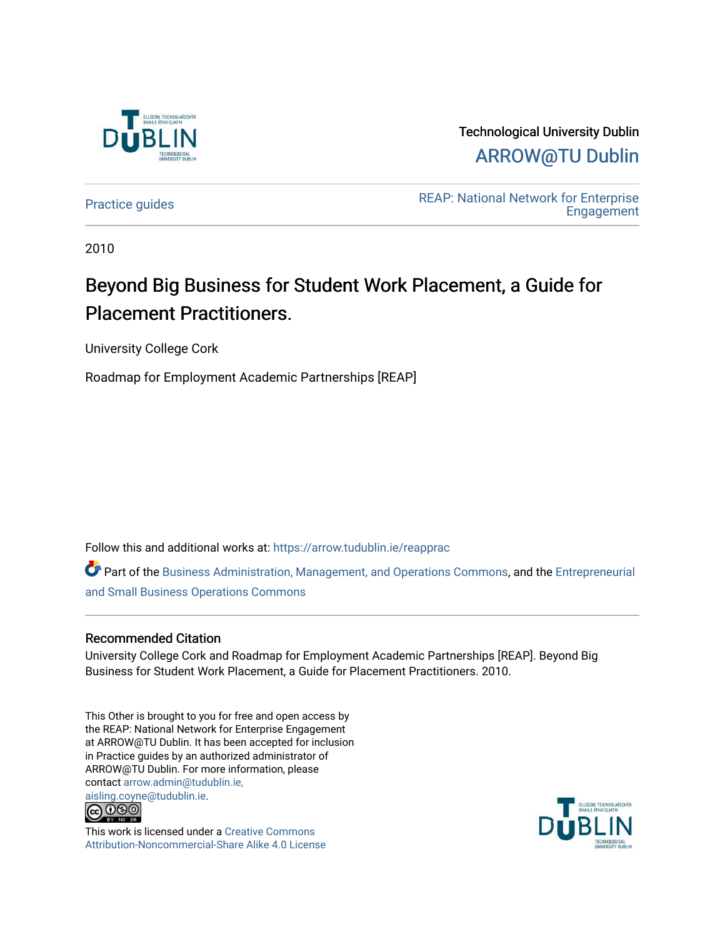

Technological University Dublin [ARROW@TU Dublin](https://arrow.tudublin.ie/) 

[Practice guides](https://arrow.tudublin.ie/reapprac) **Practice guides** REAP: National Network for Enterprise **Engagement** 

2010

## Beyond Big Business for Student Work Placement, a Guide for Placement Practitioners.

University College Cork

Roadmap for Employment Academic Partnerships [REAP]

Follow this and additional works at: [https://arrow.tudublin.ie/reapprac](https://arrow.tudublin.ie/reapprac?utm_source=arrow.tudublin.ie%2Freapprac%2F2&utm_medium=PDF&utm_campaign=PDFCoverPages)

Part of the [Business Administration, Management, and Operations Commons](http://network.bepress.com/hgg/discipline/623?utm_source=arrow.tudublin.ie%2Freapprac%2F2&utm_medium=PDF&utm_campaign=PDFCoverPages), and the [Entrepreneurial](http://network.bepress.com/hgg/discipline/630?utm_source=arrow.tudublin.ie%2Freapprac%2F2&utm_medium=PDF&utm_campaign=PDFCoverPages)  [and Small Business Operations Commons](http://network.bepress.com/hgg/discipline/630?utm_source=arrow.tudublin.ie%2Freapprac%2F2&utm_medium=PDF&utm_campaign=PDFCoverPages) 

### Recommended Citation

University College Cork and Roadmap for Employment Academic Partnerships [REAP]. Beyond Big Business for Student Work Placement, a Guide for Placement Practitioners. 2010.

This Other is brought to you for free and open access by the REAP: National Network for Enterprise Engagement at ARROW@TU Dublin. It has been accepted for inclusion in Practice guides by an authorized administrator of ARROW@TU Dublin. For more information, please contact [arrow.admin@tudublin.ie,](mailto:arrow.admin@tudublin.ie,%20aisling.coyne@tudublin.ie)  [aisling.coyne@tudublin.ie.](mailto:arrow.admin@tudublin.ie,%20aisling.coyne@tudublin.ie)



This work is licensed under a [Creative Commons](http://creativecommons.org/licenses/by-nc-sa/4.0/) [Attribution-Noncommercial-Share Alike 4.0 License](http://creativecommons.org/licenses/by-nc-sa/4.0/)

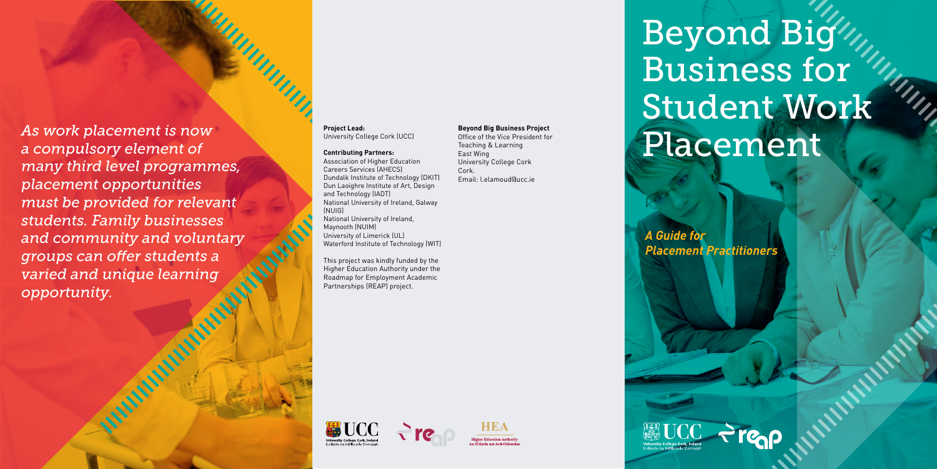*A Guide for* 







*Placement Practitioners*



# Beyond Big Business for Student Work

UIIII

*As work placement is now* Project Lead:<br> *Diviversity College Cork (UCC)* Beyond Big Business Project President for<br>
Contributing Partners:<br>
Contributing Partners:<br>
East Wing *a compulsory element of many third level programmes, placement opportunities must be provided for relevant students. Family businesses and community and voluntary groups can offer students a varied and unique learning opportunity.*

#### **Project Lead:** University College Cork (UCC)

#### **Contributing Partners:**

THUR LIVES

Association of Higher Education Careers Services (AHECS) Dundalk Institute of Technology (DKIT) Dun Laoighre Institute of Art, Design and Technology (IADT) National University of Ireland, Galway (NUIG) National University of Ireland, Maynooth (NUIM) University of Limerick (UL) Waterford Institute of Technology (WIT)

This project was kindly funded by the Higher Education Authority under the Roadmap for Employment Academic Partnerships (REAP) project.

#### **Beyond Big Business Project**

Office of the Vice President for Teaching & Learning East Wing University College Cork Cork. Email: l.elamoud@ucc.ie